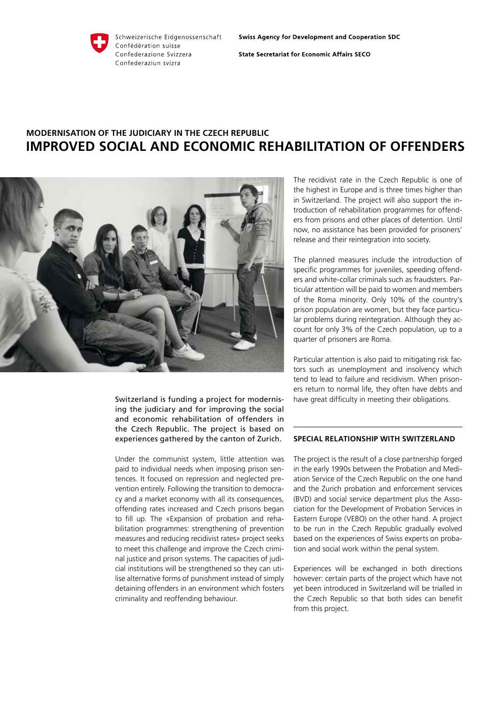### Schweizerische Eidgenossenschaft Confédération suisse Confederazione Svizzera Confederaziun svizra

**State Secretariat for Economic Affairs SECO** 

# **Modernisation of the judiciary in the Czech Republic Improved social and economic rehabilitation of offenders**



Switzerland is funding a project for modernising the judiciary and for improving the social and economic rehabilitation of offenders in the Czech Republic. The project is based on experiences gathered by the canton of Zurich.

Under the communist system, little attention was paid to individual needs when imposing prison sentences. It focused on repression and neglected prevention entirely. Following the transition to democracy and a market economy with all its consequences, offending rates increased and Czech prisons began to fill up. The «Expansion of probation and rehabilitation programmes: strengthening of prevention measures and reducing recidivist rates» project seeks to meet this challenge and improve the Czech criminal justice and prison systems. The capacities of judicial institutions will be strengthened so they can utilise alternative forms of punishment instead of simply detaining offenders in an environment which fosters criminality and reoffending behaviour.

The recidivist rate in the Czech Republic is one of the highest in Europe and is three times higher than in Switzerland. The project will also support the introduction of rehabilitation programmes for offenders from prisons and other places of detention. Until now, no assistance has been provided for prisoners' release and their reintegration into society.

The planned measures include the introduction of specific programmes for juveniles, speeding offenders and white-collar criminals such as fraudsters. Particular attention will be paid to women and members of the Roma minority. Only 10% of the country's prison population are women, but they face particular problems during reintegration. Although they account for only 3% of the Czech population, up to a quarter of prisoners are Roma.

Particular attention is also paid to mitigating risk factors such as unemployment and insolvency which tend to lead to failure and recidivism. When prisoners return to normal life, they often have debts and have great difficulty in meeting their obligations.

# **Special relationship with Switzerland**

The project is the result of a close partnership forged in the early 1990s between the Probation and Mediation Service of the Czech Republic on the one hand and the Zurich probation and enforcement services (BVD) and social service department plus the Association for the Development of Probation Services in Eastern Europe (VEBO) on the other hand. A project to be run in the Czech Republic gradually evolved based on the experiences of Swiss experts on probation and social work within the penal system.

Experiences will be exchanged in both directions however: certain parts of the project which have not yet been introduced in Switzerland will be trialled in the Czech Republic so that both sides can benefit from this project.